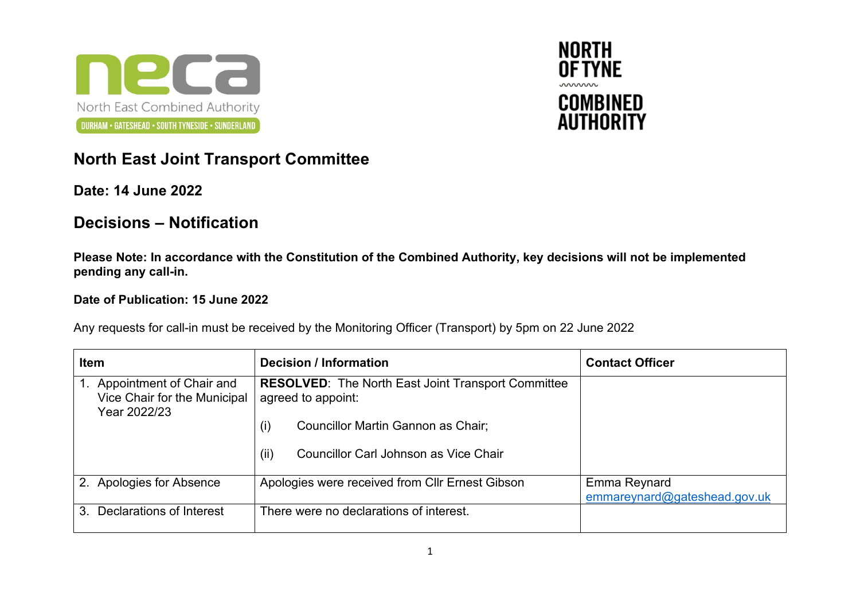



## **North East Joint Transport Committee**

## **Date: 14 June 2022**

## **Decisions – Notification**

**Please Note: In accordance with the Constitution of the Combined Authority, key decisions will not be implemented pending any call-in.**

## **Date of Publication: 15 June 2022**

Any requests for call-in must be received by the Monitoring Officer (Transport) by 5pm on 22 June 2022

| <b>Item</b>                                                              | <b>Decision / Information</b>                                                   | <b>Contact Officer</b>                       |
|--------------------------------------------------------------------------|---------------------------------------------------------------------------------|----------------------------------------------|
| Appointment of Chair and<br>Vice Chair for the Municipal<br>Year 2022/23 | <b>RESOLVED:</b> The North East Joint Transport Committee<br>agreed to appoint: |                                              |
|                                                                          | Councillor Martin Gannon as Chair;<br>(i)                                       |                                              |
|                                                                          | (ii)<br>Councillor Carl Johnson as Vice Chair                                   |                                              |
| 2. Apologies for Absence                                                 | Apologies were received from Cllr Ernest Gibson                                 | Emma Reynard<br>emmareynard@gateshead.gov.uk |
| Declarations of Interest<br>3 <sub>1</sub>                               | There were no declarations of interest.                                         |                                              |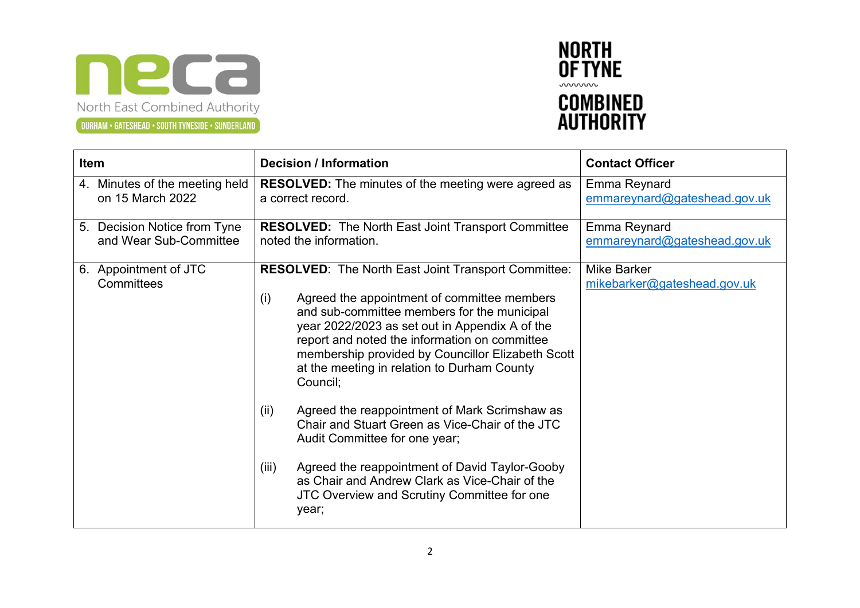



| Item                                | <b>Decision / Information</b>                                                                                                                                                                                                                                                                                                                                                                                                                                                                                                                                                                                                                                                                         | <b>Contact Officer</b>                            |
|-------------------------------------|-------------------------------------------------------------------------------------------------------------------------------------------------------------------------------------------------------------------------------------------------------------------------------------------------------------------------------------------------------------------------------------------------------------------------------------------------------------------------------------------------------------------------------------------------------------------------------------------------------------------------------------------------------------------------------------------------------|---------------------------------------------------|
| 4. Minutes of the meeting held      | <b>RESOLVED:</b> The minutes of the meeting were agreed as                                                                                                                                                                                                                                                                                                                                                                                                                                                                                                                                                                                                                                            | Emma Reynard                                      |
| on 15 March 2022                    | a correct record.                                                                                                                                                                                                                                                                                                                                                                                                                                                                                                                                                                                                                                                                                     | emmareynard@gateshead.gov.uk                      |
| 5. Decision Notice from Tyne        | <b>RESOLVED:</b> The North East Joint Transport Committee                                                                                                                                                                                                                                                                                                                                                                                                                                                                                                                                                                                                                                             | <b>Emma Reynard</b>                               |
| and Wear Sub-Committee              | noted the information.                                                                                                                                                                                                                                                                                                                                                                                                                                                                                                                                                                                                                                                                                | emmareynard@gateshead.gov.uk                      |
| 6. Appointment of JTC<br>Committees | <b>RESOLVED:</b> The North East Joint Transport Committee:<br>(i)<br>Agreed the appointment of committee members<br>and sub-committee members for the municipal<br>year 2022/2023 as set out in Appendix A of the<br>report and noted the information on committee<br>membership provided by Councillor Elizabeth Scott<br>at the meeting in relation to Durham County<br>Council;<br>Agreed the reappointment of Mark Scrimshaw as<br>(iii)<br>Chair and Stuart Green as Vice-Chair of the JTC<br>Audit Committee for one year;<br>Agreed the reappointment of David Taylor-Gooby<br>(iii)<br>as Chair and Andrew Clark as Vice-Chair of the<br>JTC Overview and Scrutiny Committee for one<br>year; | <b>Mike Barker</b><br>mikebarker@gateshead.gov.uk |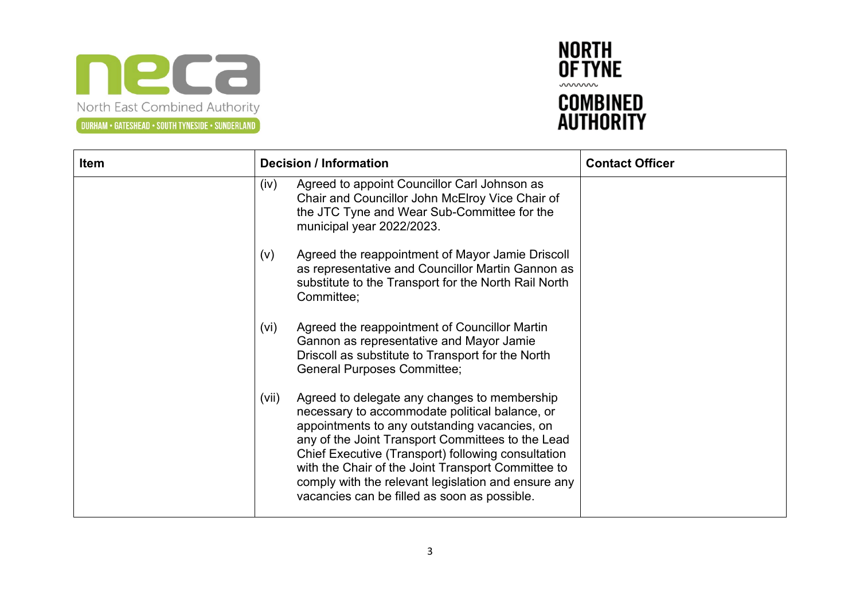



| <b>Item</b> | <b>Decision / Information</b>                                                                                                                                                                                                                                                                                                                                                                                                    | <b>Contact Officer</b> |
|-------------|----------------------------------------------------------------------------------------------------------------------------------------------------------------------------------------------------------------------------------------------------------------------------------------------------------------------------------------------------------------------------------------------------------------------------------|------------------------|
|             | Agreed to appoint Councillor Carl Johnson as<br>(iv)<br>Chair and Councillor John McElroy Vice Chair of<br>the JTC Tyne and Wear Sub-Committee for the<br>municipal year 2022/2023.                                                                                                                                                                                                                                              |                        |
|             | Agreed the reappointment of Mayor Jamie Driscoll<br>(V)<br>as representative and Councillor Martin Gannon as<br>substitute to the Transport for the North Rail North<br>Committee;                                                                                                                                                                                                                                               |                        |
|             | Agreed the reappointment of Councillor Martin<br>(vi)<br>Gannon as representative and Mayor Jamie<br>Driscoll as substitute to Transport for the North<br><b>General Purposes Committee;</b>                                                                                                                                                                                                                                     |                        |
|             | Agreed to delegate any changes to membership<br>(vii)<br>necessary to accommodate political balance, or<br>appointments to any outstanding vacancies, on<br>any of the Joint Transport Committees to the Lead<br>Chief Executive (Transport) following consultation<br>with the Chair of the Joint Transport Committee to<br>comply with the relevant legislation and ensure any<br>vacancies can be filled as soon as possible. |                        |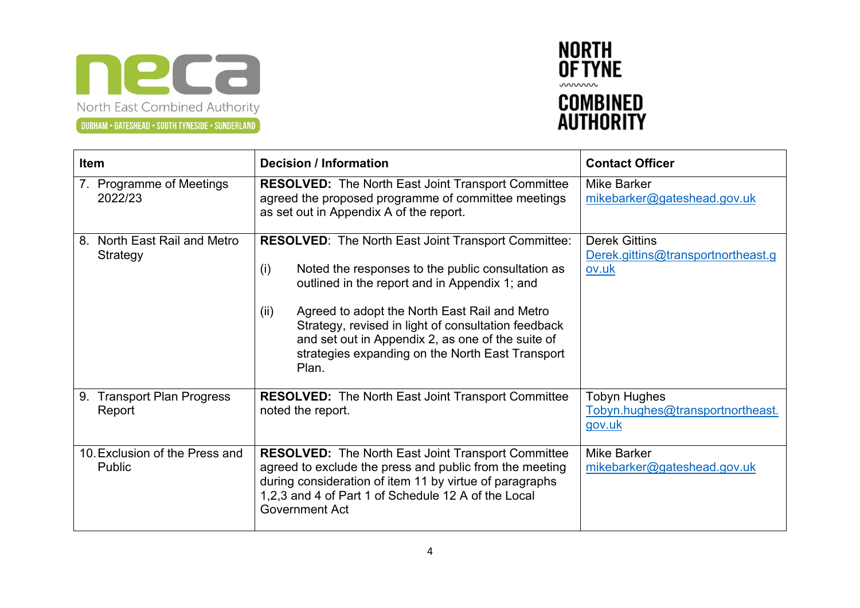



| <b>Item</b>                                    | <b>Decision / Information</b>                                                                                                                                                                                                                                                                                                                                                                             | <b>Contact Officer</b>                                              |
|------------------------------------------------|-----------------------------------------------------------------------------------------------------------------------------------------------------------------------------------------------------------------------------------------------------------------------------------------------------------------------------------------------------------------------------------------------------------|---------------------------------------------------------------------|
| 7. Programme of Meetings<br>2022/23            | <b>RESOLVED:</b> The North East Joint Transport Committee<br>agreed the proposed programme of committee meetings<br>as set out in Appendix A of the report.                                                                                                                                                                                                                                               | Mike Barker<br>mikebarker@gateshead.gov.uk                          |
| North East Rail and Metro<br>8.<br>Strategy    | <b>RESOLVED:</b> The North East Joint Transport Committee:<br>Noted the responses to the public consultation as<br>(i)<br>outlined in the report and in Appendix 1; and<br>Agreed to adopt the North East Rail and Metro<br>(ii)<br>Strategy, revised in light of consultation feedback<br>and set out in Appendix 2, as one of the suite of<br>strategies expanding on the North East Transport<br>Plan. | <b>Derek Gittins</b><br>Derek.gittins@transportnortheast.g<br>ov.uk |
| <b>Transport Plan Progress</b><br>9.<br>Report | <b>RESOLVED:</b> The North East Joint Transport Committee<br>noted the report.                                                                                                                                                                                                                                                                                                                            | Tobyn Hughes<br>Tobyn.hughes@transportnortheast.<br>gov.uk          |
| 10. Exclusion of the Press and<br>Public       | <b>RESOLVED:</b> The North East Joint Transport Committee<br>agreed to exclude the press and public from the meeting<br>during consideration of item 11 by virtue of paragraphs<br>1,2,3 and 4 of Part 1 of Schedule 12 A of the Local<br><b>Government Act</b>                                                                                                                                           | Mike Barker<br>mikebarker@gateshead.gov.uk                          |